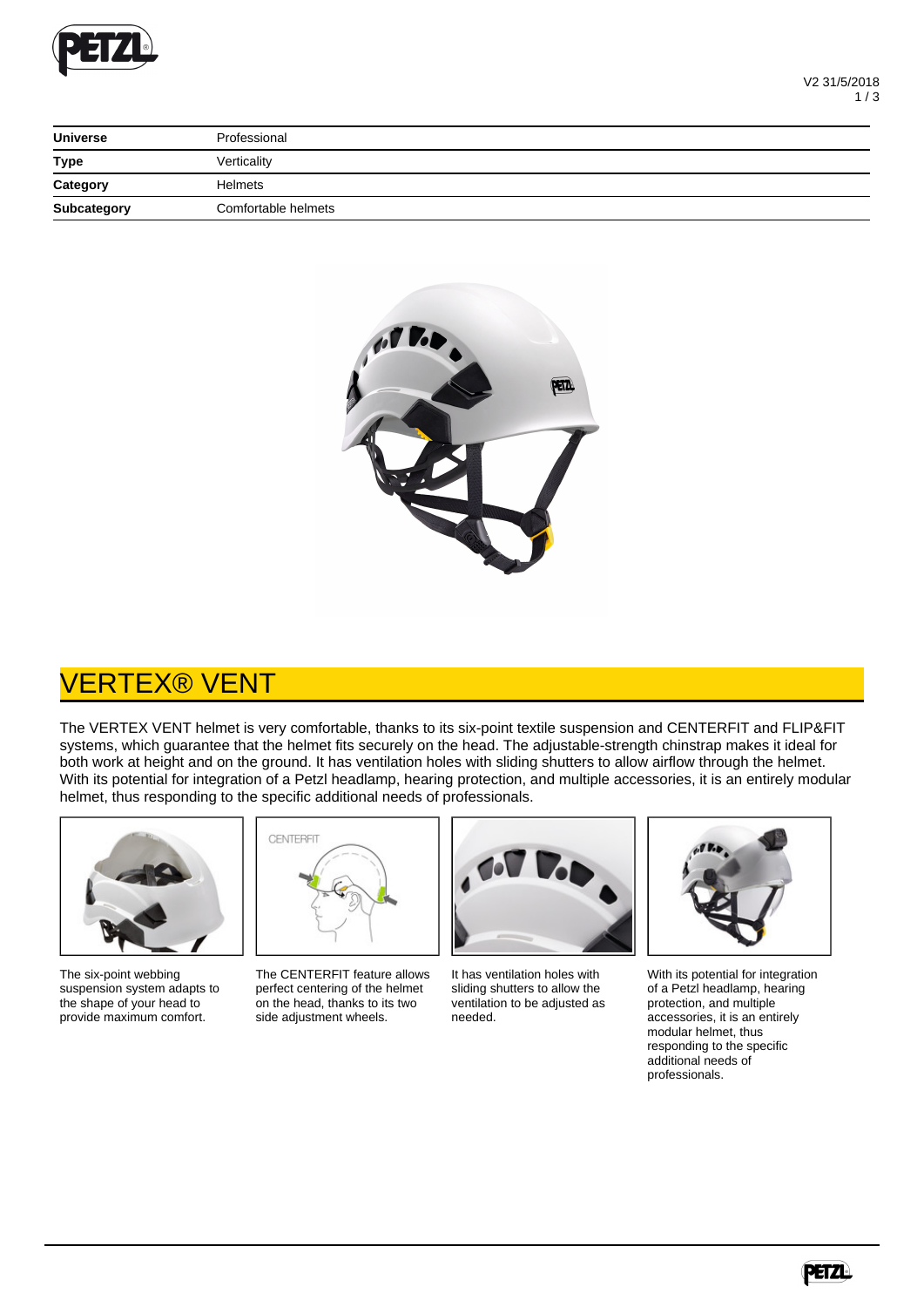

| <b>Universe</b> | Professional        |
|-----------------|---------------------|
| <b>Type</b>     | Verticality         |
| Category        | <b>Helmets</b>      |
| Subcategory     | Comfortable helmets |



## VERTEX® VENT

The VERTEX VENT helmet is very comfortable, thanks to its six-point textile suspension and CENTERFIT and FLIP&FIT systems, which guarantee that the helmet fits securely on the head. The adjustable-strength chinstrap makes it ideal for both work at height and on the ground. It has ventilation holes with sliding shutters to allow airflow through the helmet. With its potential for integration of a Petzl headlamp, hearing protection, and multiple accessories, it is an entirely modular helmet, thus responding to the specific additional needs of professionals.



The six-point webbing suspension system adapts to the shape of your head to provide maximum comfort.



The CENTERFIT feature allows perfect centering of the helmet on the head, thanks to its two side adjustment wheels.



It has ventilation holes with sliding shutters to allow the ventilation to be adjusted as needed.



With its potential for integration of a Petzl headlamp, hearing protection, and multiple accessories, it is an entirely modular helmet, thus responding to the specific additional needs of professionals.

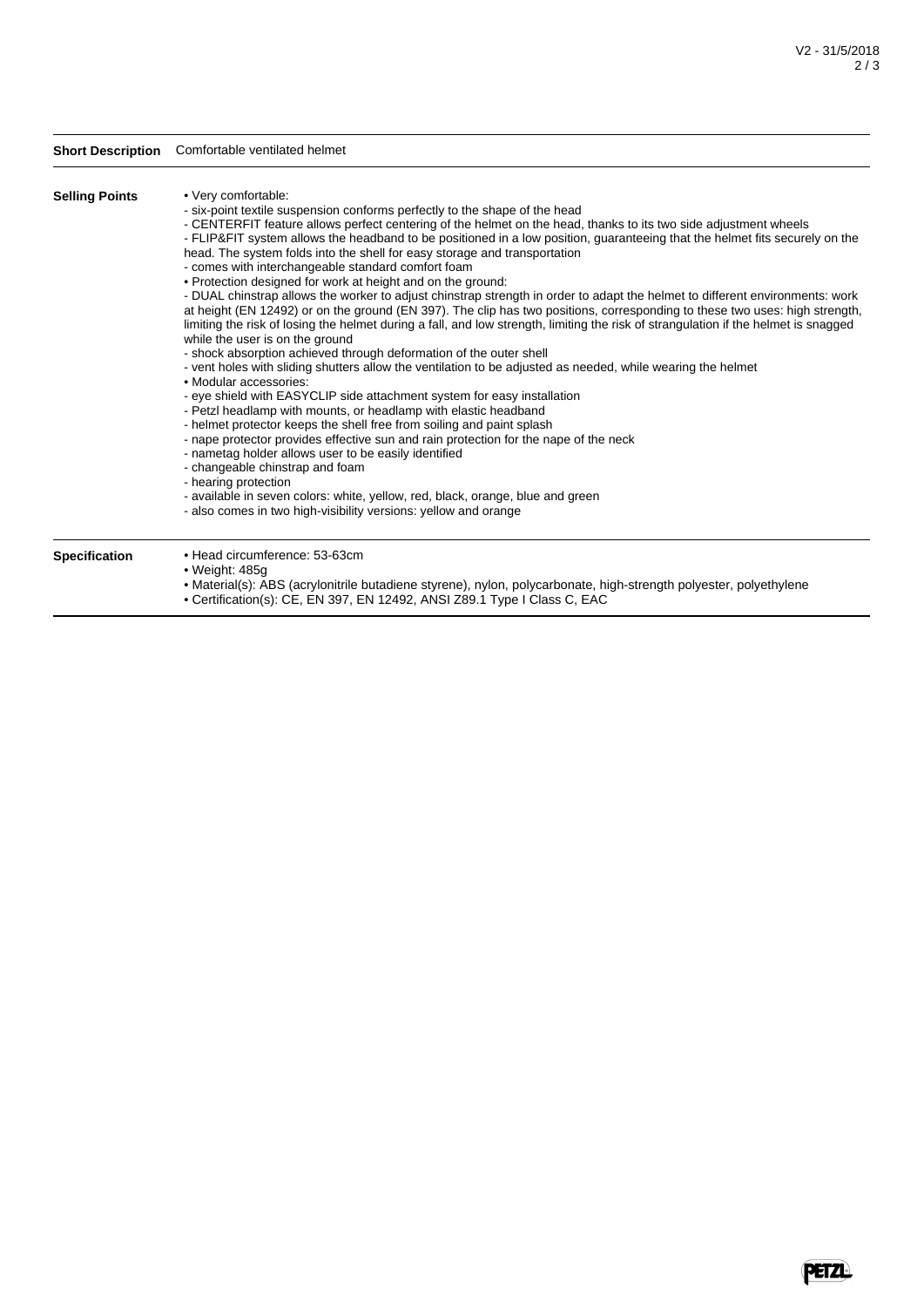Perze

## **Short Description** Comfortable ventilated helmet **Selling Points** • Very comfortable: - six-point textile suspension conforms perfectly to the shape of the head - CENTERFIT feature allows perfect centering of the helmet on the head, thanks to its two side adjustment wheels - FLIP&FIT system allows the headband to be positioned in a low position, guaranteeing that the helmet fits securely on the head. The system folds into the shell for easy storage and transportation - comes with interchangeable standard comfort foam • Protection designed for work at height and on the ground: - DUAL chinstrap allows the worker to adjust chinstrap strength in order to adapt the helmet to different environments: work at height (EN 12492) or on the ground (EN 397). The clip has two positions, corresponding to these two uses: high strength, limiting the risk of losing the helmet during a fall, and low strength, limiting the risk of strangulation if the helmet is snagged while the user is on the ground - shock absorption achieved through deformation of the outer shell - vent holes with sliding shutters allow the ventilation to be adjusted as needed, while wearing the helmet • Modular accessories: - eye shield with EASYCLIP side attachment system for easy installation - Petzl headlamp with mounts, or headlamp with elastic headband - helmet protector keeps the shell free from soiling and paint splash - nape protector provides effective sun and rain protection for the nape of the neck - nametag holder allows user to be easily identified - changeable chinstrap and foam - hearing protection - available in seven colors: white, yellow, red, black, orange, blue and green - also comes in two high-visibility versions: yellow and orange **Specification** • Head circumference: 53-63cm • Weight: 485g

- Material(s): ABS (acrylonitrile butadiene styrene), nylon, polycarbonate, high-strength polyester, polyethylene
	- Certification(s): CE, EN 397, EN 12492, ANSI Z89.1 Type I Class C, EAC